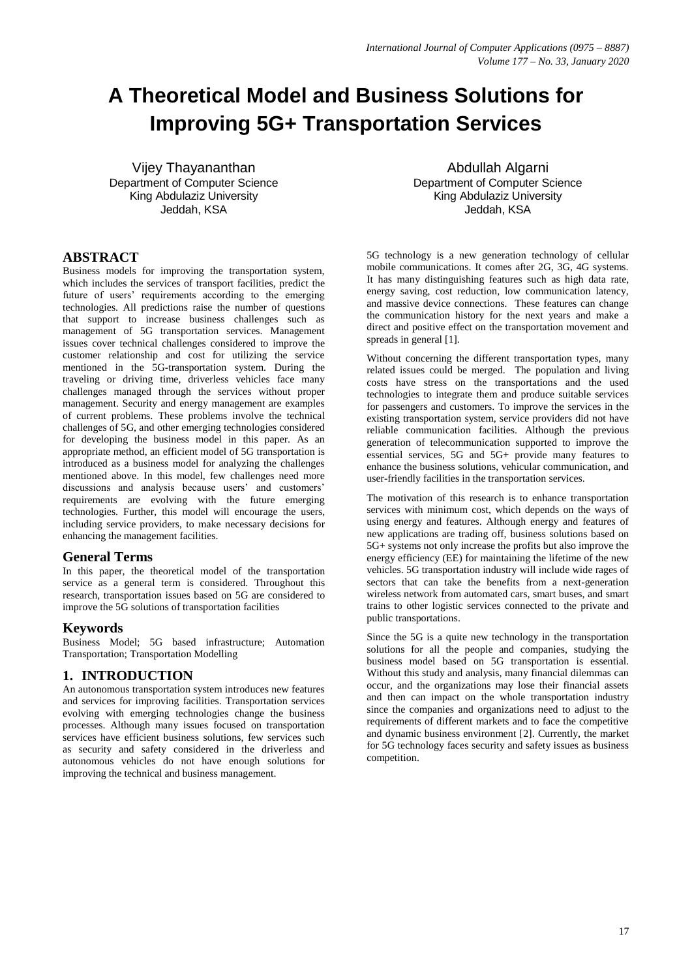# **A Theoretical Model and Business Solutions for Improving 5G+ Transportation Services**

Vijey Thayananthan Department of Computer Science King Abdulaziz University Jeddah, KSA

## **ABSTRACT**

Business models for improving the transportation system, which includes the services of transport facilities, predict the future of users' requirements according to the emerging technologies. All predictions raise the number of questions that support to increase business challenges such as management of 5G transportation services. Management issues cover technical challenges considered to improve the customer relationship and cost for utilizing the service mentioned in the 5G-transportation system. During the traveling or driving time, driverless vehicles face many challenges managed through the services without proper management. Security and energy management are examples of current problems. These problems involve the technical challenges of 5G, and other emerging technologies considered for developing the business model in this paper. As an appropriate method, an efficient model of 5G transportation is introduced as a business model for analyzing the challenges mentioned above. In this model, few challenges need more discussions and analysis because users' and customers' requirements are evolving with the future emerging technologies. Further, this model will encourage the users, including service providers, to make necessary decisions for enhancing the management facilities.

#### **General Terms**

In this paper, the theoretical model of the transportation service as a general term is considered. Throughout this research, transportation issues based on 5G are considered to improve the 5G solutions of transportation facilities

#### **Keywords**

Business Model; 5G based infrastructure; Automation Transportation; Transportation Modelling

## **1. INTRODUCTION**

An autonomous transportation system introduces new features and services for improving facilities. Transportation services evolving with emerging technologies change the business processes. Although many issues focused on transportation services have efficient business solutions, few services such as security and safety considered in the driverless and autonomous vehicles do not have enough solutions for improving the technical and business management.

Abdullah Algarni Department of Computer Science King Abdulaziz University Jeddah, KSA

5G technology is a new generation technology of cellular mobile communications. It comes after 2G, 3G, 4G systems. It has many distinguishing features such as high data rate, energy saving, cost reduction, low communication latency, and massive device connections. These features can change the communication history for the next years and make a direct and positive effect on the transportation movement and spreads in general [1].

Without concerning the different transportation types, many related issues could be merged. The population and living costs have stress on the transportations and the used technologies to integrate them and produce suitable services for passengers and customers. To improve the services in the existing transportation system, service providers did not have reliable communication facilities. Although the previous generation of telecommunication supported to improve the essential services, 5G and 5G+ provide many features to enhance the business solutions, vehicular communication, and user-friendly facilities in the transportation services.

The motivation of this research is to enhance transportation services with minimum cost, which depends on the ways of using energy and features. Although energy and features of new applications are trading off, business solutions based on 5G+ systems not only increase the profits but also improve the energy efficiency (EE) for maintaining the lifetime of the new vehicles. 5G transportation industry will include wide rages of sectors that can take the benefits from a next-generation wireless network from automated cars, smart buses, and smart trains to other logistic services connected to the private and public transportations.

Since the 5G is a quite new technology in the transportation solutions for all the people and companies, studying the business model based on 5G transportation is essential. Without this study and analysis, many financial dilemmas can occur, and the organizations may lose their financial assets and then can impact on the whole transportation industry since the companies and organizations need to adjust to the requirements of different markets and to face the competitive and dynamic business environment [2]. Currently, the market for 5G technology faces security and safety issues as business competition.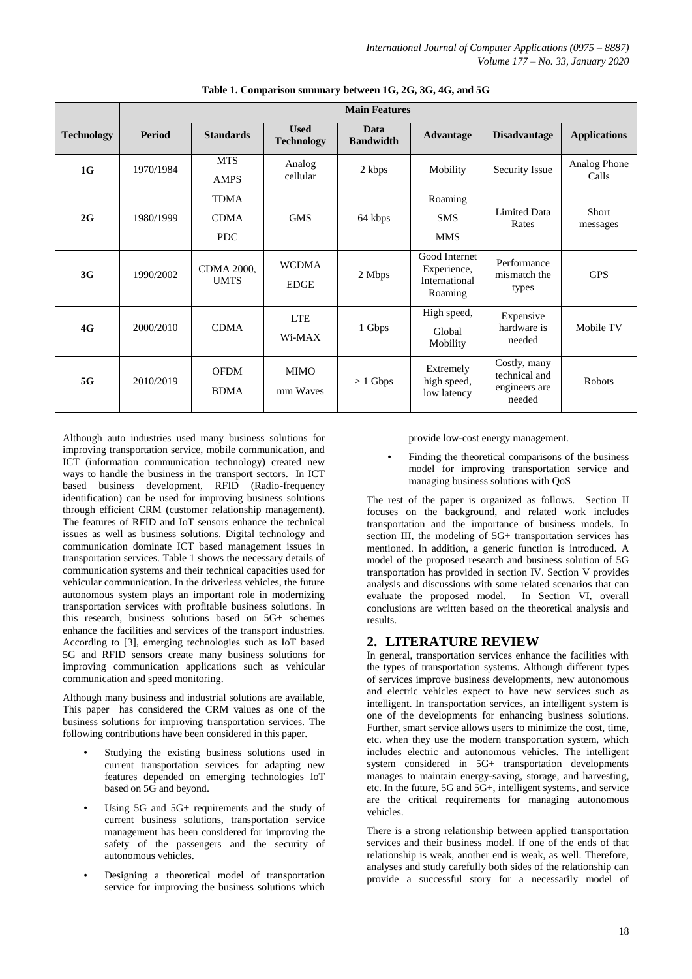|                   | <b>Main Features</b> |                                          |                                  |                          |                                                          |                                                          |                       |
|-------------------|----------------------|------------------------------------------|----------------------------------|--------------------------|----------------------------------------------------------|----------------------------------------------------------|-----------------------|
| <b>Technology</b> | <b>Period</b>        | <b>Standards</b>                         | <b>Used</b><br><b>Technology</b> | Data<br><b>Bandwidth</b> | <b>Advantage</b>                                         | <b>Disadvantage</b>                                      | <b>Applications</b>   |
| 1G                | 1970/1984            | <b>MTS</b><br><b>AMPS</b>                | Analog<br>cellular               | 2 kbps                   | Mobility                                                 | Security Issue                                           | Analog Phone<br>Calls |
| 2G                | 1980/1999            | <b>TDMA</b><br><b>CDMA</b><br><b>PDC</b> | <b>GMS</b>                       | 64 kbps                  | Roaming<br><b>SMS</b><br><b>MMS</b>                      | Limited Data<br>Rates                                    | Short<br>messages     |
| 3G                | 1990/2002            | <b>CDMA 2000,</b><br><b>UMTS</b>         | <b>WCDMA</b><br><b>EDGE</b>      | 2 Mbps                   | Good Internet<br>Experience,<br>International<br>Roaming | Performance<br>mismatch the<br>types                     | <b>GPS</b>            |
| 4G                | 2000/2010            | <b>CDMA</b>                              | <b>LTE</b><br>Wi-MAX             | 1 Gbps                   | High speed,<br>Global<br>Mobility                        | Expensive<br>hardware is<br>needed                       | Mobile TV             |
| 5G                | 2010/2019            | <b>OFDM</b><br><b>BDMA</b>               | MIMO<br>mm Waves                 | $> 1$ Gbps               | Extremely<br>high speed,<br>low latency                  | Costly, many<br>technical and<br>engineers are<br>needed | Robots                |

**Table 1. Comparison summary between 1G, 2G, 3G, 4G, and 5G**

Although auto industries used many business solutions for improving transportation service, mobile communication, and ICT (information communication technology) created new ways to handle the business in the transport sectors. In ICT based business development, RFID (Radio-frequency identification) can be used for improving business solutions through efficient CRM (customer relationship management). The features of RFID and IoT sensors enhance the technical issues as well as business solutions. Digital technology and communication dominate ICT based management issues in transportation services. Table 1 shows the necessary details of communication systems and their technical capacities used for vehicular communication. In the driverless vehicles, the future autonomous system plays an important role in modernizing transportation services with profitable business solutions. In this research, business solutions based on 5G+ schemes enhance the facilities and services of the transport industries. According to [3], emerging technologies such as IoT based 5G and RFID sensors create many business solutions for improving communication applications such as vehicular communication and speed monitoring.

Although many business and industrial solutions are available, This paper has considered the CRM values as one of the business solutions for improving transportation services. The following contributions have been considered in this paper.

- Studying the existing business solutions used in current transportation services for adapting new features depended on emerging technologies IoT based on 5G and beyond.
- Using 5G and 5G+ requirements and the study of current business solutions, transportation service management has been considered for improving the safety of the passengers and the security of autonomous vehicles.
- Designing a theoretical model of transportation service for improving the business solutions which

provide low-cost energy management.

Finding the theoretical comparisons of the business model for improving transportation service and managing business solutions with QoS

The rest of the paper is organized as follows. Section II focuses on the background, and related work includes transportation and the importance of business models. In section III, the modeling of 5G+ transportation services has mentioned. In addition, a generic function is introduced. A model of the proposed research and business solution of 5G transportation has provided in section IV. Section V provides analysis and discussions with some related scenarios that can evaluate the proposed model. In Section VI, overall conclusions are written based on the theoretical analysis and results.

# **2. LITERATURE REVIEW**

In general, transportation services enhance the facilities with the types of transportation systems. Although different types of services improve business developments, new autonomous and electric vehicles expect to have new services such as intelligent. In transportation services, an intelligent system is one of the developments for enhancing business solutions. Further, smart service allows users to minimize the cost, time, etc. when they use the modern transportation system, which includes electric and autonomous vehicles. The intelligent system considered in 5G+ transportation developments manages to maintain energy-saving, storage, and harvesting, etc. In the future, 5G and 5G+, intelligent systems, and service are the critical requirements for managing autonomous vehicles.

There is a strong relationship between applied transportation services and their business model. If one of the ends of that relationship is weak, another end is weak, as well. Therefore, analyses and study carefully both sides of the relationship can provide a successful story for a necessarily model of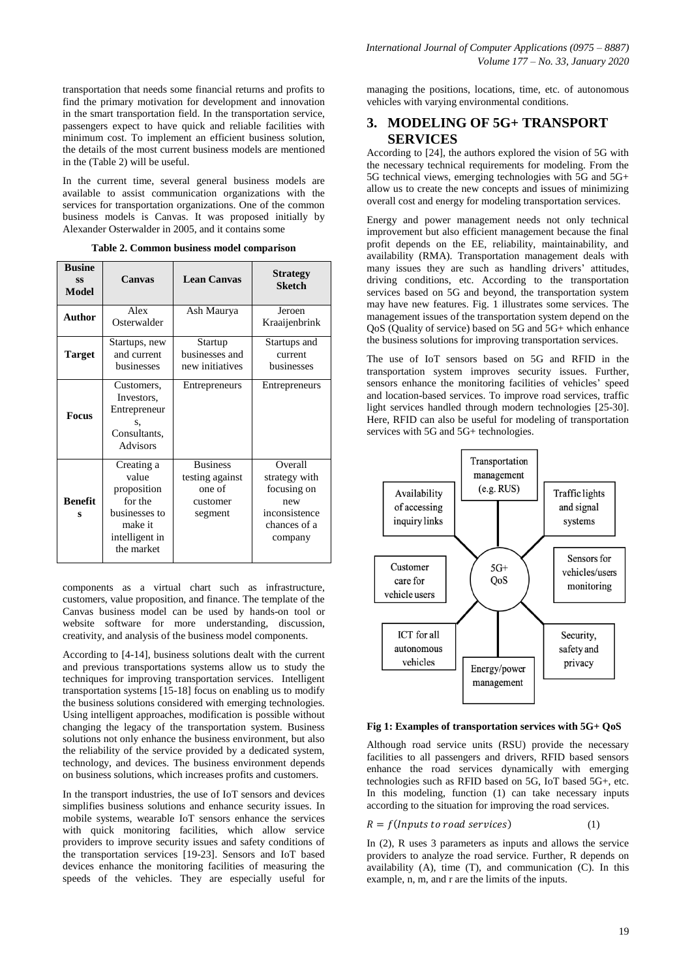transportation that needs some financial returns and profits to find the primary motivation for development and innovation in the smart transportation field. In the transportation service, passengers expect to have quick and reliable facilities with minimum cost. To implement an efficient business solution, the details of the most current business models are mentioned in the (Table 2) will be useful.

In the current time, several general business models are available to assist communication organizations with the services for transportation organizations. One of the common business models is Canvas. It was proposed initially by Alexander Osterwalder in 2005, and it contains some

| <b>Busine</b><br><b>SS</b><br><b>Model</b> | Canvas                                                                                                    | <b>Lean Canvas</b>                                                  | <b>Strategy</b><br><b>Sketch</b>                                                           |
|--------------------------------------------|-----------------------------------------------------------------------------------------------------------|---------------------------------------------------------------------|--------------------------------------------------------------------------------------------|
| Author                                     | Alex<br>Osterwalder                                                                                       | Ash Maurya                                                          | Jeroen<br>Kraaijenbrink                                                                    |
| Target                                     | Startups, new<br>and current<br>husinesses                                                                | Startup<br>businesses and<br>new initiatives                        | Startups and<br>current<br>businesses                                                      |
| <b>Focus</b>                               | Customers,<br>Investors,<br>Entrepreneur<br>S,<br>Consultants,<br><b>Advisors</b>                         | Entrepreneurs                                                       | Entrepreneurs                                                                              |
| <b>Benefit</b><br>s                        | Creating a<br>value<br>proposition<br>for the<br>businesses to<br>make it<br>intelligent in<br>the market | <b>Business</b><br>testing against<br>one of<br>customer<br>segment | Overall<br>strategy with<br>focusing on<br>new<br>inconsistence<br>chances of a<br>company |

**Table 2. Common business model comparison**

components as a virtual chart such as infrastructure, customers, value proposition, and finance. The template of the Canvas business model can be used by hands-on tool or website software for more understanding, discussion, creativity, and analysis of the business model components.

According to [4-14], business solutions dealt with the current and previous transportations systems allow us to study the techniques for improving transportation services. Intelligent transportation systems [15-18] focus on enabling us to modify the business solutions considered with emerging technologies. Using intelligent approaches, modification is possible without changing the legacy of the transportation system. Business solutions not only enhance the business environment, but also the reliability of the service provided by a dedicated system, technology, and devices. The business environment depends on business solutions, which increases profits and customers.

In the transport industries, the use of IoT sensors and devices simplifies business solutions and enhance security issues. In mobile systems, wearable IoT sensors enhance the services with quick monitoring facilities, which allow service providers to improve security issues and safety conditions of the transportation services [19-23]. Sensors and IoT based devices enhance the monitoring facilities of measuring the speeds of the vehicles. They are especially useful for

managing the positions, locations, time, etc. of autonomous vehicles with varying environmental conditions.

# **3. MODELING OF 5G+ TRANSPORT SERVICES**

According to [24], the authors explored the vision of 5G with the necessary technical requirements for modeling. From the 5G technical views, emerging technologies with 5G and 5G+ allow us to create the new concepts and issues of minimizing overall cost and energy for modeling transportation services.

Energy and power management needs not only technical improvement but also efficient management because the final profit depends on the EE, reliability, maintainability, and availability (RMA). Transportation management deals with many issues they are such as handling drivers' attitudes, driving conditions, etc. According to the transportation services based on 5G and beyond, the transportation system may have new features. Fig. 1 illustrates some services. The management issues of the transportation system depend on the QoS (Quality of service) based on 5G and 5G+ which enhance the business solutions for improving transportation services.

The use of IoT sensors based on 5G and RFID in the transportation system improves security issues. Further, sensors enhance the monitoring facilities of vehicles' speed and location-based services. To improve road services, traffic light services handled through modern technologies [25-30]. Here, RFID can also be useful for modeling of transportation services with 5G and 5G+ technologies.



**Fig 1: Examples of transportation services with 5G+ QoS**

Although road service units (RSU) provide the necessary facilities to all passengers and drivers, RFID based sensors enhance the road services dynamically with emerging technologies such as RFID based on 5G, IoT based 5G+, etc. In this modeling, function (1) can take necessary inputs according to the situation for improving the road services.

$$
R = f(InputStream \cdot to \cdot road \, services)
$$
 (1)

In (2), R uses 3 parameters as inputs and allows the service providers to analyze the road service. Further, R depends on availability (A), time (T), and communication (C). In this example, n, m, and r are the limits of the inputs.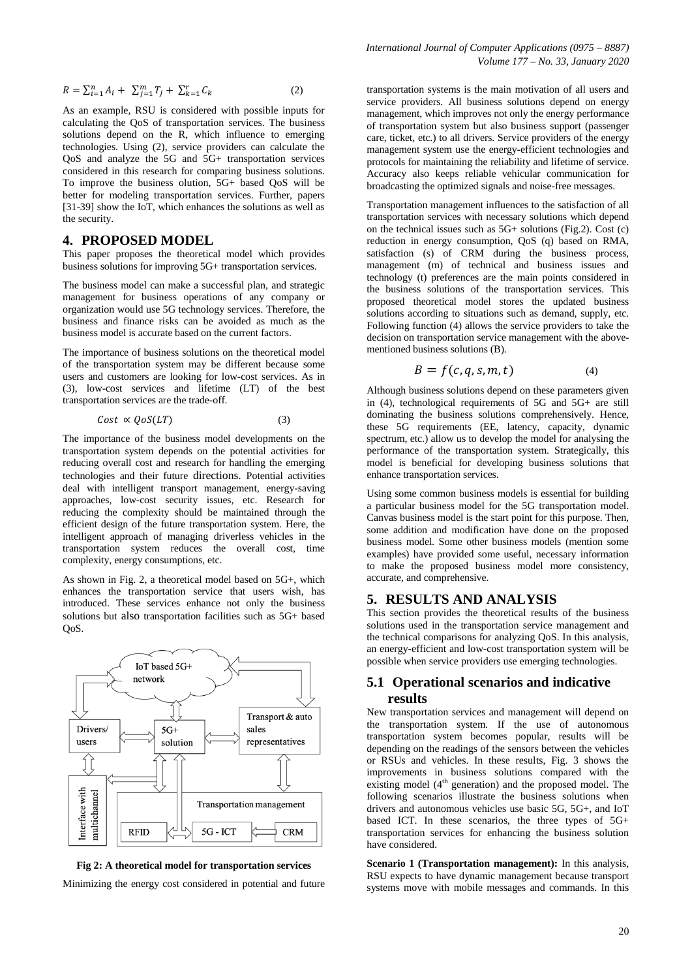$$
R = \sum_{i=1}^{n} A_i + \sum_{j=1}^{m} T_j + \sum_{k=1}^{r} C_k
$$
 (2)

As an example, RSU is considered with possible inputs for calculating the QoS of transportation services. The business solutions depend on the R, which influence to emerging technologies. Using (2), service providers can calculate the QoS and analyze the 5G and 5G+ transportation services considered in this research for comparing business solutions. To improve the business olution, 5G+ based QoS will be better for modeling transportation services. Further, papers [31-39] show the IoT, which enhances the solutions as well as the security.

#### **4. PROPOSED MODEL**

This paper proposes the theoretical model which provides business solutions for improving 5G+ transportation services.

The business model can make a successful plan, and strategic management for business operations of any company or organization would use 5G technology services. Therefore, the business and finance risks can be avoided as much as the business model is accurate based on the current factors.

The importance of business solutions on the theoretical model of the transportation system may be different because some users and customers are looking for low-cost services. As in (3), low-cost services and lifetime (LT) of the best transportation services are the trade-off.

$$
Cost \propto QoS(LT) \tag{3}
$$

The importance of the business model developments on the transportation system depends on the potential activities for reducing overall cost and research for handling the emerging technologies and their future directions. Potential activities deal with intelligent transport management, energy-saving approaches, low-cost security issues, etc. Research for reducing the complexity should be maintained through the efficient design of the future transportation system. Here, the intelligent approach of managing driverless vehicles in the transportation system reduces the overall cost, time complexity, energy consumptions, etc.

As shown in Fig. 2, a theoretical model based on 5G+, which enhances the transportation service that users wish, has introduced. These services enhance not only the business solutions but also transportation facilities such as 5G+ based QoS.



**Fig 2: A theoretical model for transportation services**

Minimizing the energy cost considered in potential and future

transportation systems is the main motivation of all users and service providers. All business solutions depend on energy management, which improves not only the energy performance of transportation system but also business support (passenger care, ticket, etc.) to all drivers. Service providers of the energy management system use the energy-efficient technologies and protocols for maintaining the reliability and lifetime of service. Accuracy also keeps reliable vehicular communication for broadcasting the optimized signals and noise-free messages.

Transportation management influences to the satisfaction of all transportation services with necessary solutions which depend on the technical issues such as 5G+ solutions (Fig.2). Cost (c) reduction in energy consumption, QoS (q) based on RMA, satisfaction (s) of CRM during the business process, management (m) of technical and business issues and technology (t) preferences are the main points considered in the business solutions of the transportation services. This proposed theoretical model stores the updated business solutions according to situations such as demand, supply, etc. Following function (4) allows the service providers to take the decision on transportation service management with the abovementioned business solutions (B).

$$
B = f(c, q, s, m, t) \tag{4}
$$

Although business solutions depend on these parameters given in (4), technological requirements of 5G and 5G+ are still dominating the business solutions comprehensively. Hence, these 5G requirements (EE, latency, capacity, dynamic spectrum, etc.) allow us to develop the model for analysing the performance of the transportation system. Strategically, this model is beneficial for developing business solutions that enhance transportation services.

Using some common business models is essential for building a particular business model for the 5G transportation model. Canvas business model is the start point for this purpose. Then, some addition and modification have done on the proposed business model. Some other business models (mention some examples) have provided some useful, necessary information to make the proposed business model more consistency, accurate, and comprehensive.

#### **5. RESULTS AND ANALYSIS**

This section provides the theoretical results of the business solutions used in the transportation service management and the technical comparisons for analyzing QoS. In this analysis, an energy-efficient and low-cost transportation system will be possible when service providers use emerging technologies.

## **5.1 Operational scenarios and indicative results**

New transportation services and management will depend on the transportation system. If the use of autonomous transportation system becomes popular, results will be depending on the readings of the sensors between the vehicles or RSUs and vehicles. In these results, Fig. 3 shows the improvements in business solutions compared with the existing model  $(4<sup>th</sup>$  generation) and the proposed model. The following scenarios illustrate the business solutions when drivers and autonomous vehicles use basic 5G, 5G+, and IoT based ICT. In these scenarios, the three types of 5G+ transportation services for enhancing the business solution have considered.

**Scenario 1 (Transportation management):** In this analysis, RSU expects to have dynamic management because transport systems move with mobile messages and commands. In this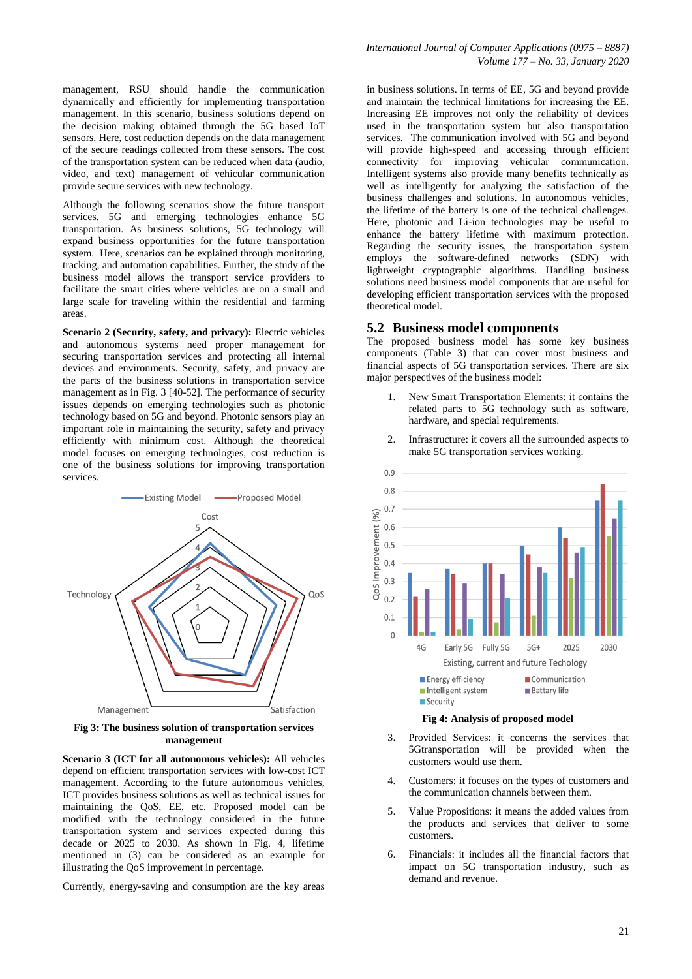management, RSU should handle the communication dynamically and efficiently for implementing transportation management. In this scenario, business solutions depend on the decision making obtained through the 5G based IoT sensors. Here, cost reduction depends on the data management of the secure readings collected from these sensors. The cost of the transportation system can be reduced when data (audio, video, and text) management of vehicular communication provide secure services with new technology.

Although the following scenarios show the future transport services, 5G and emerging technologies enhance 5G transportation. As business solutions, 5G technology will expand business opportunities for the future transportation system. Here, scenarios can be explained through monitoring, tracking, and automation capabilities. Further, the study of the business model allows the transport service providers to facilitate the smart cities where vehicles are on a small and large scale for traveling within the residential and farming areas.

**Scenario 2 (Security, safety, and privacy):** Electric vehicles and autonomous systems need proper management for securing transportation services and protecting all internal devices and environments. Security, safety, and privacy are the parts of the business solutions in transportation service management as in Fig. 3 [40-52]. The performance of security issues depends on emerging technologies such as photonic technology based on 5G and beyond. Photonic sensors play an important role in maintaining the security, safety and privacy efficiently with minimum cost. Although the theoretical model focuses on emerging technologies, cost reduction is one of the business solutions for improving transportation services.



**Fig 3: The business solution of transportation services management**

**Scenario 3 (ICT for all autonomous vehicles):** All vehicles depend on efficient transportation services with low-cost ICT management. According to the future autonomous vehicles, ICT provides business solutions as well as technical issues for maintaining the QoS, EE, etc. Proposed model can be modified with the technology considered in the future transportation system and services expected during this decade or 2025 to 2030. As shown in Fig. 4, lifetime mentioned in (3) can be considered as an example for illustrating the QoS improvement in percentage.

Currently, energy-saving and consumption are the key areas

in business solutions. In terms of EE, 5G and beyond provide and maintain the technical limitations for increasing the EE. Increasing EE improves not only the reliability of devices used in the transportation system but also transportation services. The communication involved with 5G and beyond will provide high-speed and accessing through efficient connectivity for improving vehicular communication. Intelligent systems also provide many benefits technically as well as intelligently for analyzing the satisfaction of the business challenges and solutions. In autonomous vehicles, the lifetime of the battery is one of the technical challenges. Here, photonic and Li-ion technologies may be useful to enhance the battery lifetime with maximum protection. Regarding the security issues, the transportation system employs the software-defined networks (SDN) with lightweight cryptographic algorithms. Handling business solutions need business model components that are useful for developing efficient transportation services with the proposed theoretical model.

#### **5.2 Business model components**

The proposed business model has some key business components (Table 3) that can cover most business and financial aspects of 5G transportation services. There are six major perspectives of the business model:

- 1. New Smart Transportation Elements: it contains the related parts to 5G technology such as software, hardware, and special requirements.
- 2. Infrastructure: it covers all the surrounded aspects to make 5G transportation services working.



**Fig 4: Analysis of proposed model**

- 3. Provided Services: it concerns the services that 5Gtransportation will be provided when the customers would use them.
- 4. Customers: it focuses on the types of customers and the communication channels between them.
- 5. Value Propositions: it means the added values from the products and services that deliver to some customers.
- 6. Financials: it includes all the financial factors that impact on 5G transportation industry, such as demand and revenue.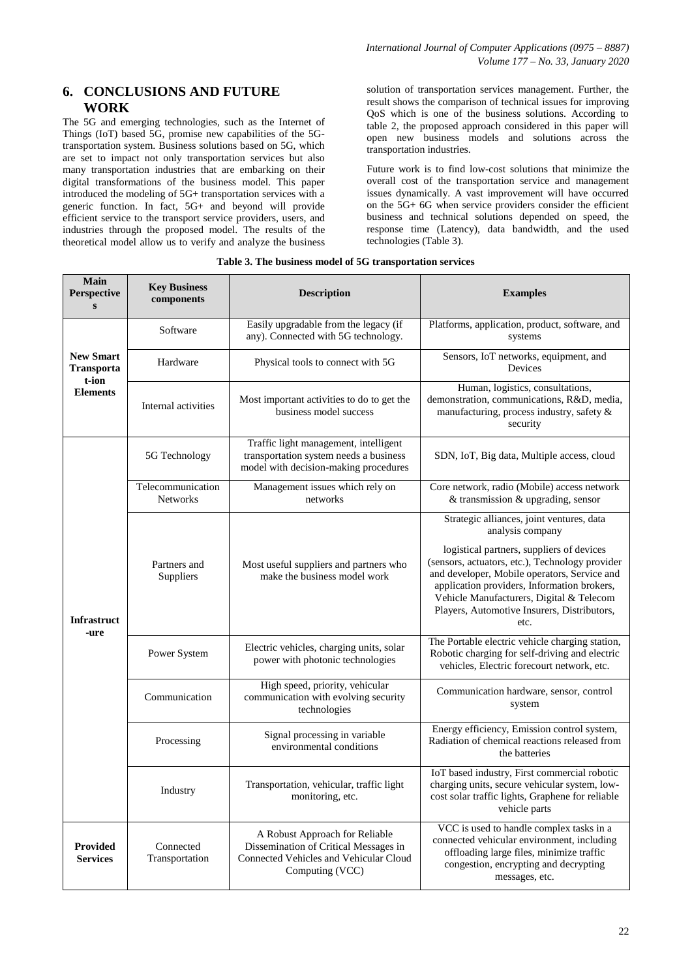## **6. CONCLUSIONS AND FUTURE WORK**

The 5G and emerging technologies, such as the Internet of Things (IoT) based 5G, promise new capabilities of the 5Gtransportation system. Business solutions based on 5G, which are set to impact not only transportation services but also many transportation industries that are embarking on their digital transformations of the business model. This paper introduced the modeling of 5G+ transportation services with a generic function. In fact, 5G+ and beyond will provide efficient service to the transport service providers, users, and industries through the proposed model. The results of the theoretical model allow us to verify and analyze the business solution of transportation services management. Further, the result shows the comparison of technical issues for improving QoS which is one of the business solutions. According to table 2, the proposed approach considered in this paper will open new business models and solutions across the transportation industries.

Future work is to find low-cost solutions that minimize the overall cost of the transportation service and management issues dynamically. A vast improvement will have occurred on the 5G+ 6G when service providers consider the efficient business and technical solutions depended on speed, the response time (Latency), data bandwidth, and the used technologies (Table 3).

| <b>Main</b><br>Perspective<br>S                                   | <b>Key Business</b><br>components    | <b>Description</b>                                                                                                                   | <b>Examples</b>                                                                                                                                                                                                                                                                                |  |
|-------------------------------------------------------------------|--------------------------------------|--------------------------------------------------------------------------------------------------------------------------------------|------------------------------------------------------------------------------------------------------------------------------------------------------------------------------------------------------------------------------------------------------------------------------------------------|--|
| <b>New Smart</b><br><b>Transporta</b><br>t-ion<br><b>Elements</b> | Software                             | Easily upgradable from the legacy (if<br>any). Connected with 5G technology.                                                         | Platforms, application, product, software, and<br>systems                                                                                                                                                                                                                                      |  |
|                                                                   | Hardware                             | Physical tools to connect with 5G                                                                                                    | Sensors, IoT networks, equipment, and<br>Devices                                                                                                                                                                                                                                               |  |
|                                                                   | Internal activities                  | Most important activities to do to get the<br>business model success                                                                 | Human, logistics, consultations,<br>demonstration, communications, R&D, media,<br>manufacturing, process industry, safety &<br>security                                                                                                                                                        |  |
| <b>Infrastruct</b><br>-ure                                        | 5G Technology                        | Traffic light management, intelligent<br>transportation system needs a business<br>model with decision-making procedures             | SDN, IoT, Big data, Multiple access, cloud                                                                                                                                                                                                                                                     |  |
|                                                                   | Telecommunication<br><b>Networks</b> | Management issues which rely on<br>networks                                                                                          | Core network, radio (Mobile) access network<br>& transmission & upgrading, sensor                                                                                                                                                                                                              |  |
|                                                                   |                                      |                                                                                                                                      | Strategic alliances, joint ventures, data<br>analysis company                                                                                                                                                                                                                                  |  |
|                                                                   | Partners and<br>Suppliers            | Most useful suppliers and partners who<br>make the business model work                                                               | logistical partners, suppliers of devices<br>(sensors, actuators, etc.), Technology provider<br>and developer, Mobile operators, Service and<br>application providers, Information brokers,<br>Vehicle Manufacturers, Digital & Telecom<br>Players, Automotive Insurers, Distributors,<br>etc. |  |
|                                                                   | Power System                         | Electric vehicles, charging units, solar<br>power with photonic technologies                                                         | The Portable electric vehicle charging station,<br>Robotic charging for self-driving and electric<br>vehicles, Electric forecourt network, etc.                                                                                                                                                |  |
|                                                                   | Communication                        | High speed, priority, vehicular<br>communication with evolving security<br>technologies                                              | Communication hardware, sensor, control<br>system                                                                                                                                                                                                                                              |  |
|                                                                   | Processing                           | Signal processing in variable<br>environmental conditions                                                                            | Energy efficiency, Emission control system,<br>Radiation of chemical reactions released from<br>the batteries                                                                                                                                                                                  |  |
|                                                                   | Industry                             | Transportation, vehicular, traffic light<br>monitoring, etc.                                                                         | IoT based industry, First commercial robotic<br>charging units, secure vehicular system, low-<br>cost solar traffic lights, Graphene for reliable<br>vehicle parts                                                                                                                             |  |
| <b>Provided</b><br><b>Services</b>                                | Connected<br>Transportation          | A Robust Approach for Reliable<br>Dissemination of Critical Messages in<br>Connected Vehicles and Vehicular Cloud<br>Computing (VCC) | VCC is used to handle complex tasks in a<br>connected vehicular environment, including<br>offloading large files, minimize traffic<br>congestion, encrypting and decrypting<br>messages, etc.                                                                                                  |  |

#### **Table 3. The business model of 5G transportation services**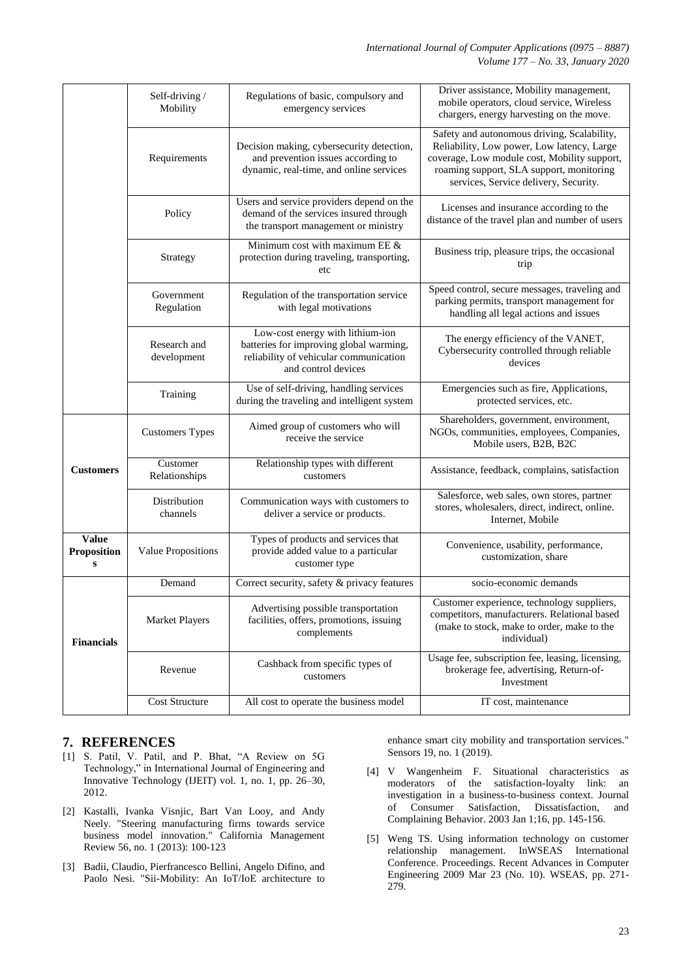|                                                 | Self-driving /<br>Mobility  | Regulations of basic, compulsory and<br>emergency services                                                                                   | Driver assistance, Mobility management,<br>mobile operators, cloud service, Wireless<br>chargers, energy harvesting on the move.                                                                                               |  |
|-------------------------------------------------|-----------------------------|----------------------------------------------------------------------------------------------------------------------------------------------|--------------------------------------------------------------------------------------------------------------------------------------------------------------------------------------------------------------------------------|--|
|                                                 | Requirements                | Decision making, cybersecurity detection,<br>and prevention issues according to<br>dynamic, real-time, and online services                   | Safety and autonomous driving, Scalability,<br>Reliability, Low power, Low latency, Large<br>coverage, Low module cost, Mobility support,<br>roaming support, SLA support, monitoring<br>services, Service delivery, Security. |  |
|                                                 | Policy                      | Users and service providers depend on the<br>demand of the services insured through<br>the transport management or ministry                  | Licenses and insurance according to the<br>distance of the travel plan and number of users                                                                                                                                     |  |
|                                                 | Strategy                    | Minimum cost with maximum EE &<br>protection during traveling, transporting,<br>etc                                                          | Business trip, pleasure trips, the occasional<br>trip                                                                                                                                                                          |  |
|                                                 | Government<br>Regulation    | Regulation of the transportation service<br>with legal motivations                                                                           | Speed control, secure messages, traveling and<br>parking permits, transport management for<br>handling all legal actions and issues                                                                                            |  |
|                                                 | Research and<br>development | Low-cost energy with lithium-ion<br>batteries for improving global warming,<br>reliability of vehicular communication<br>and control devices | The energy efficiency of the VANET,<br>Cybersecurity controlled through reliable<br>devices                                                                                                                                    |  |
|                                                 | Training                    | Use of self-driving, handling services<br>during the traveling and intelligent system                                                        | Emergencies such as fire, Applications,<br>protected services, etc.                                                                                                                                                            |  |
| <b>Customers</b>                                | <b>Customers Types</b>      | Aimed group of customers who will<br>receive the service                                                                                     | Shareholders, government, environment,<br>NGOs, communities, employees, Companies,<br>Mobile users, B2B, B2C                                                                                                                   |  |
|                                                 | Customer<br>Relationships   | Relationship types with different<br>customers                                                                                               | Assistance, feedback, complains, satisfaction                                                                                                                                                                                  |  |
|                                                 | Distribution<br>channels    | Communication ways with customers to<br>deliver a service or products.                                                                       | Salesforce, web sales, own stores, partner<br>stores, wholesalers, direct, indirect, online.<br>Internet, Mobile                                                                                                               |  |
| <b>Value</b><br><b>Proposition</b><br>${\bf S}$ | Value Propositions          | Types of products and services that<br>provide added value to a particular<br>customer type                                                  | Convenience, usability, performance,<br>customization, share                                                                                                                                                                   |  |
| <b>Financials</b>                               | Demand                      | Correct security, safety & privacy features                                                                                                  | socio-economic demands                                                                                                                                                                                                         |  |
|                                                 | <b>Market Players</b>       | Advertising possible transportation<br>facilities, offers, promotions, issuing<br>complements                                                | Customer experience, technology suppliers,<br>competitors, manufacturers. Relational based<br>(make to stock, make to order, make to the<br>individual)                                                                        |  |
|                                                 | Revenue                     | Cashback from specific types of<br>customers                                                                                                 | Usage fee, subscription fee, leasing, licensing,<br>brokerage fee, advertising, Return-of-<br>Investment                                                                                                                       |  |
|                                                 | Cost Structure              | All cost to operate the business model                                                                                                       | IT cost, maintenance                                                                                                                                                                                                           |  |

# **7. REFERENCES**

- [1] S. Patil, V. Patil, and P. Bhat, "A Review on 5G Technology," in International Journal of Engineering and Innovative Technology (IJEIT) vol. 1, no. 1, pp. 26–30, 2012.
- [2] Kastalli, Ivanka Visnjic, Bart Van Looy, and Andy Neely. "Steering manufacturing firms towards service business model innovation." California Management Review 56, no. 1 (2013): 100-123
- [3] Badii, Claudio, Pierfrancesco Bellini, Angelo Difino, and Paolo Nesi. "Sii-Mobility: An IoT/IoE architecture to

enhance smart city mobility and transportation services." Sensors 19, no. 1 (2019).

- [4] V Wangenheim F. Situational characteristics as moderators of the satisfaction-loyalty link: an investigation in a business-to-business context. Journal of Consumer Satisfaction, Dissatisfaction, and Complaining Behavior. 2003 Jan 1;16, pp. 145-156.
- [5] Weng TS. Using information technology on customer relationship management. InWSEAS International Conference. Proceedings. Recent Advances in Computer Engineering 2009 Mar 23 (No. 10). WSEAS, pp. 271- 279.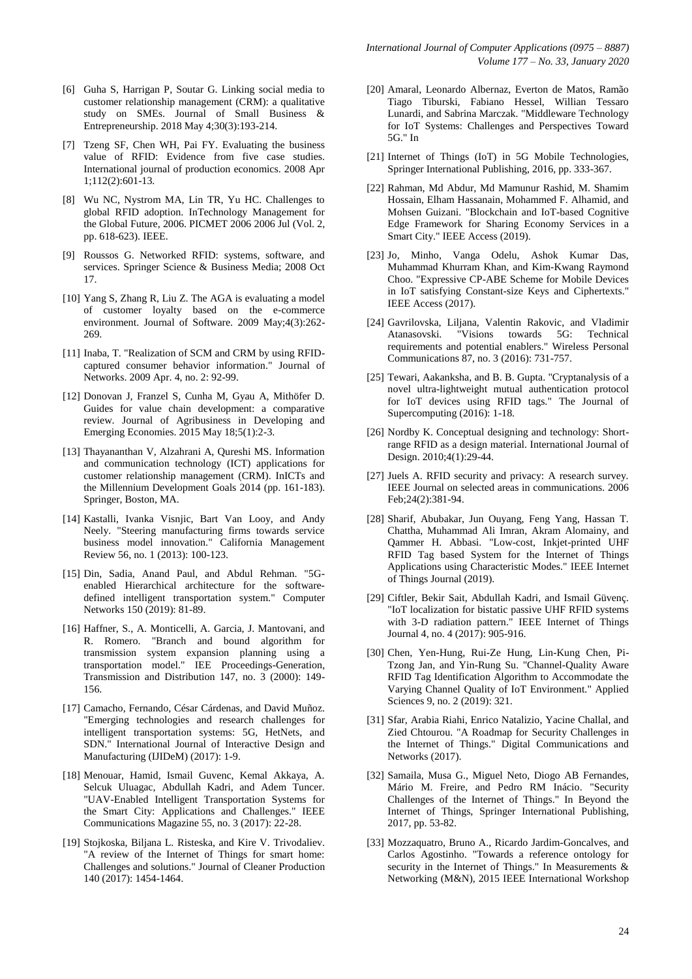- [6] Guha S, Harrigan P, Soutar G. Linking social media to customer relationship management (CRM): a qualitative study on SMEs. Journal of Small Business & Entrepreneurship. 2018 May 4;30(3):193-214.
- [7] Tzeng SF, Chen WH, Pai FY. Evaluating the business value of RFID: Evidence from five case studies. International journal of production economics. 2008 Apr 1;112(2):601-13.
- [8] Wu NC, Nystrom MA, Lin TR, Yu HC. Challenges to global RFID adoption. InTechnology Management for the Global Future, 2006. PICMET 2006 2006 Jul (Vol. 2, pp. 618-623). IEEE.
- [9] Roussos G. Networked RFID: systems, software, and services. Springer Science & Business Media; 2008 Oct 17.
- [10] Yang S, Zhang R, Liu Z. The AGA is evaluating a model of customer loyalty based on the e-commerce environment. Journal of Software. 2009 May;4(3):262- 269.
- [11] Inaba, T. "Realization of SCM and CRM by using RFIDcaptured consumer behavior information." Journal of Networks. 2009 Apr. 4, no. 2: 92-99.
- [12] Donovan J, Franzel S, Cunha M, Gyau A, Mithöfer D. Guides for value chain development: a comparative review. Journal of Agribusiness in Developing and Emerging Economies. 2015 May 18;5(1):2-3.
- [13] Thayananthan V, Alzahrani A, Qureshi MS. Information and communication technology (ICT) applications for customer relationship management (CRM). InICTs and the Millennium Development Goals 2014 (pp. 161-183). Springer, Boston, MA.
- [14] Kastalli, Ivanka Visnjic, Bart Van Looy, and Andy Neely. "Steering manufacturing firms towards service business model innovation." California Management Review 56, no. 1 (2013): 100-123.
- [15] Din, Sadia, Anand Paul, and Abdul Rehman. "5Genabled Hierarchical architecture for the softwaredefined intelligent transportation system." Computer Networks 150 (2019): 81-89.
- [16] Haffner, S., A. Monticelli, A. Garcia, J. Mantovani, and R. Romero. "Branch and bound algorithm for transmission system expansion planning using a transportation model." IEE Proceedings-Generation, Transmission and Distribution 147, no. 3 (2000): 149- 156.
- [17] Camacho, Fernando, César Cárdenas, and David Muñoz. "Emerging technologies and research challenges for intelligent transportation systems: 5G, HetNets, and SDN." International Journal of Interactive Design and Manufacturing (IJIDeM) (2017): 1-9.
- [18] Menouar, Hamid, Ismail Guvenc, Kemal Akkaya, A. Selcuk Uluagac, Abdullah Kadri, and Adem Tuncer. "UAV-Enabled Intelligent Transportation Systems for the Smart City: Applications and Challenges." IEEE Communications Magazine 55, no. 3 (2017): 22-28.
- [19] Stojkoska, Biljana L. Risteska, and Kire V. Trivodaliev. "A review of the Internet of Things for smart home: Challenges and solutions." Journal of Cleaner Production 140 (2017): 1454-1464.
- [20] Amaral, Leonardo Albernaz, Everton de Matos, Ramão Tiago Tiburski, Fabiano Hessel, Willian Tessaro Lunardi, and Sabrina Marczak. "Middleware Technology for IoT Systems: Challenges and Perspectives Toward 5G." In
- [21] Internet of Things (IoT) in 5G Mobile Technologies, Springer International Publishing, 2016, pp. 333-367.
- [22] Rahman, Md Abdur, Md Mamunur Rashid, M. Shamim Hossain, Elham Hassanain, Mohammed F. Alhamid, and Mohsen Guizani. "Blockchain and IoT-based Cognitive Edge Framework for Sharing Economy Services in a Smart City." IEEE Access (2019).
- [23] Jo, Minho, Vanga Odelu, Ashok Kumar Das, Muhammad Khurram Khan, and Kim-Kwang Raymond Choo. "Expressive CP-ABE Scheme for Mobile Devices in IoT satisfying Constant-size Keys and Ciphertexts." IEEE Access (2017).
- [24] Gavrilovska, Liljana, Valentin Rakovic, and Vladimir Atanasovski. "Visions towards 5G: Technical requirements and potential enablers." Wireless Personal Communications 87, no. 3 (2016): 731-757.
- [25] Tewari, Aakanksha, and B. B. Gupta. "Cryptanalysis of a novel ultra-lightweight mutual authentication protocol for IoT devices using RFID tags." The Journal of Supercomputing (2016): 1-18.
- [26] Nordby K. Conceptual designing and technology: Shortrange RFID as a design material. International Journal of Design. 2010;4(1):29-44.
- [27] Juels A. RFID security and privacy: A research survey. IEEE Journal on selected areas in communications. 2006 Feb;24(2):381-94.
- [28] Sharif, Abubakar, Jun Ouyang, Feng Yang, Hassan T. Chattha, Muhammad Ali Imran, Akram Alomainy, and Qammer H. Abbasi. "Low-cost, Inkjet-printed UHF RFID Tag based System for the Internet of Things Applications using Characteristic Modes." IEEE Internet of Things Journal (2019).
- [29] Ciftler, Bekir Sait, Abdullah Kadri, and Ismail Güvenç. "IoT localization for bistatic passive UHF RFID systems with 3-D radiation pattern." IEEE Internet of Things Journal 4, no. 4 (2017): 905-916.
- [30] Chen, Yen-Hung, Rui-Ze Hung, Lin-Kung Chen, Pi-Tzong Jan, and Yin-Rung Su. "Channel-Quality Aware RFID Tag Identification Algorithm to Accommodate the Varying Channel Quality of IoT Environment." Applied Sciences 9, no. 2 (2019): 321.
- [31] Sfar, Arabia Riahi, Enrico Natalizio, Yacine Challal, and Zied Chtourou. "A Roadmap for Security Challenges in the Internet of Things." Digital Communications and Networks (2017).
- [32] Samaila, Musa G., Miguel Neto, Diogo AB Fernandes, Mário M. Freire, and Pedro RM Inácio. "Security Challenges of the Internet of Things." In Beyond the Internet of Things, Springer International Publishing, 2017, pp. 53-82.
- [33] Mozzaquatro, Bruno A., Ricardo Jardim-Goncalves, and Carlos Agostinho. "Towards a reference ontology for security in the Internet of Things." In Measurements & Networking (M&N), 2015 IEEE International Workshop